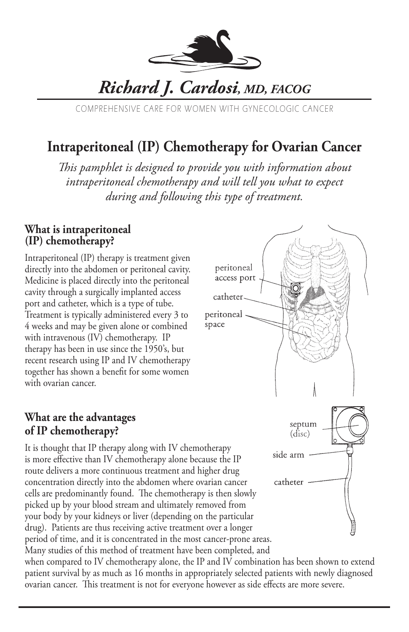

# *Richard J. Cardosi, MD, FACOG*

COMPREHENSIVE CARE FOR WOMEN WITH GYNECOLOGIC CANCER

# **Intraperitoneal (IP) Chemotherapy for Ovarian Cancer**

*This pamphlet is designed to provide you with information about intraperitoneal chemotherapy and will tell you what to expect during and following this type of treatment.*

#### **What is intraperitoneal (IP) chemotherapy?**

Intraperitoneal (IP) therapy is treatment given directly into the abdomen or peritoneal cavity. Medicine is placed directly into the peritoneal cavity through a surgically implanted access port and catheter, which is a type of tube. Treatment is typically administered every 3 to 4 weeks and may be given alone or combined with intravenous (IV) chemotherapy. IP therapy has been in use since the 1950's, but recent research using IP and IV chemotherapy together has shown a benefit for some women with ovarian cancer.

#### **What are the advantages of IP chemotherapy?**

It is thought that IP therapy along with IV chemotherapy is more effective than IV chemotherapy alone because the IP route delivers a more continuous treatment and higher drug concentration directly into the abdomen where ovarian cancer cells are predominantly found. The chemotherapy is then slowly picked up by your blood stream and ultimately removed from your body by your kidneys or liver (depending on the particular drug). Patients are thus receiving active treatment over a longer period of time, and it is concentrated in the most cancer-prone areas. Many studies of this method of treatment have been completed, and

when compared to IV chemotherapy alone, the IP and IV combination has been shown to extend patient survival by as much as 16 months in appropriately selected patients with newly diagnosed ovarian cancer. This treatment is not for everyone however as side effects are more severe.

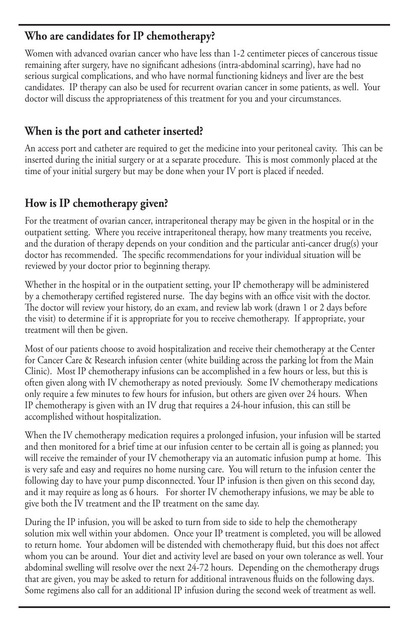#### **Who are candidates for IP chemotherapy?**

Women with advanced ovarian cancer who have less than 1-2 centimeter pieces of cancerous tissue remaining after surgery, have no significant adhesions (intra-abdominal scarring), have had no serious surgical complications, and who have normal functioning kidneys and liver are the best candidates. IP therapy can also be used for recurrent ovarian cancer in some patients, as well. Your doctor will discuss the appropriateness of this treatment for you and your circumstances.

### **When is the port and catheter inserted?**

An access port and catheter are required to get the medicine into your peritoneal cavity. This can be inserted during the initial surgery or at a separate procedure. This is most commonly placed at the time of your initial surgery but may be done when your IV port is placed if needed.

#### **How is IP chemotherapy given?**

For the treatment of ovarian cancer, intraperitoneal therapy may be given in the hospital or in the outpatient setting. Where you receive intraperitoneal therapy, how many treatments you receive, and the duration of therapy depends on your condition and the particular anti-cancer drug(s) your doctor has recommended. The specific recommendations for your individual situation will be reviewed by your doctor prior to beginning therapy.

Whether in the hospital or in the outpatient setting, your IP chemotherapy will be administered by a chemotherapy certified registered nurse. The day begins with an office visit with the doctor. The doctor will review your history, do an exam, and review lab work (drawn 1 or 2 days before the visit) to determine if it is appropriate for you to receive chemotherapy. If appropriate, your treatment will then be given.

Most of our patients choose to avoid hospitalization and receive their chemotherapy at the Center for Cancer Care & Research infusion center (white building across the parking lot from the Main Clinic). Most IP chemotherapy infusions can be accomplished in a few hours or less, but this is often given along with IV chemotherapy as noted previously. Some IV chemotherapy medications only require a few minutes to few hours for infusion, but others are given over 24 hours. When IP chemotherapy is given with an IV drug that requires a 24-hour infusion, this can still be accomplished without hospitalization.

When the IV chemotherapy medication requires a prolonged infusion, your infusion will be started and then monitored for a brief time at our infusion center to be certain all is going as planned; you will receive the remainder of your IV chemotherapy via an automatic infusion pump at home. This is very safe and easy and requires no home nursing care. You will return to the infusion center the following day to have your pump disconnected. Your IP infusion is then given on this second day, and it may require as long as 6 hours. For shorter IV chemotherapy infusions, we may be able to give both the IV treatment and the IP treatment on the same day.

During the IP infusion, you will be asked to turn from side to side to help the chemotherapy solution mix well within your abdomen. Once your IP treatment is completed, you will be allowed to return home. Your abdomen will be distended with chemotherapy fluid, but this does not affect whom you can be around. Your diet and activity level are based on your own tolerance as well. Your abdominal swelling will resolve over the next 24-72 hours. Depending on the chemotherapy drugs that are given, you may be asked to return for additional intravenous fluids on the following days. Some regimens also call for an additional IP infusion during the second week of treatment as well.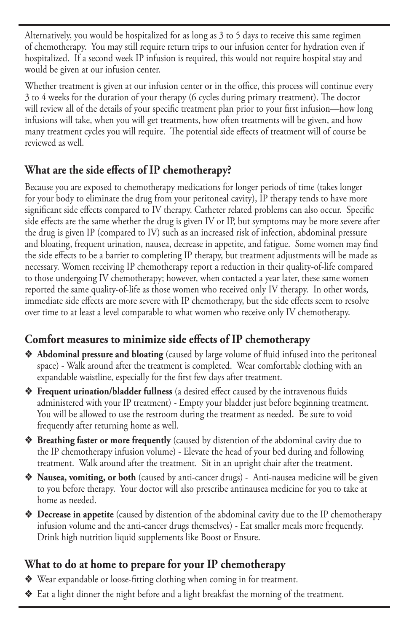Alternatively, you would be hospitalized for as long as 3 to 5 days to receive this same regimen of chemotherapy. You may still require return trips to our infusion center for hydration even if hospitalized. If a second week IP infusion is required, this would not require hospital stay and would be given at our infusion center.

Whether treatment is given at our infusion center or in the office, this process will continue every 3 to 4 weeks for the duration of your therapy (6 cycles during primary treatment). The doctor will review all of the details of your specific treatment plan prior to your first infusion—how long infusions will take, when you will get treatments, how often treatments will be given, and how many treatment cycles you will require. The potential side effects of treatment will of course be reviewed as well.

#### **What are the side effects of IP chemotherapy?**

Because you are exposed to chemotherapy medications for longer periods of time (takes longer for your body to eliminate the drug from your peritoneal cavity), IP therapy tends to have more significant side effects compared to IV therapy. Catheter related problems can also occur. Specific side effects are the same whether the drug is given IV or IP, but symptoms may be more severe after the drug is given IP (compared to IV) such as an increased risk of infection, abdominal pressure and bloating, frequent urination, nausea, decrease in appetite, and fatigue. Some women may find the side effects to be a barrier to completing IP therapy, but treatment adjustments will be made as necessary. Women receiving IP chemotherapy report a reduction in their quality-of-life compared to those undergoing IV chemotherapy; however, when contacted a year later, these same women reported the same quality-of-life as those women who received only IV therapy. In other words, immediate side effects are more severe with IP chemotherapy, but the side effects seem to resolve over time to at least a level comparable to what women who receive only IV chemotherapy.

# **Comfort measures to minimize side effects of IP chemotherapy**

- v **Abdominal pressure and bloating** (caused by large volume of fluid infused into the peritoneal space) - Walk around after the treatment is completed. Wear comfortable clothing with an expandable waistline, especially for the first few days after treatment.
- v **Frequent urination/bladder fullness** (a desired effect caused by the intravenous fluids administered with your IP treatment) - Empty your bladder just before beginning treatment. You will be allowed to use the restroom during the treatment as needed. Be sure to void frequently after returning home as well.
- v **Breathing faster or more frequently** (caused by distention of the abdominal cavity due to the IP chemotherapy infusion volume) - Elevate the head of your bed during and following treatment. Walk around after the treatment. Sit in an upright chair after the treatment.
- v **Nausea, vomiting, or both** (caused by anti-cancer drugs) Anti-nausea medicine will be given to you before therapy. Your doctor will also prescribe antinausea medicine for you to take at home as needed.
- **◆ Decrease in appetite** (caused by distention of the abdominal cavity due to the IP chemotherapy infusion volume and the anti-cancer drugs themselves) - Eat smaller meals more frequently. Drink high nutrition liquid supplements like Boost or Ensure.

# **What to do at home to prepare for your IP chemotherapy**

- ◆ Wear expandable or loose-fitting clothing when coming in for treatment.
- v Eat a light dinner the night before and a light breakfast the morning of the treatment.